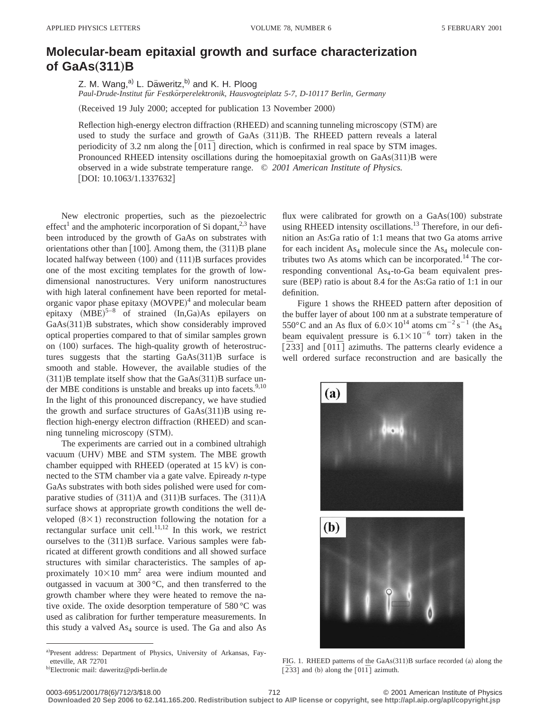## **Molecular-beam epitaxial growth and surface characterization of GaAs** $(311)B$

Z. M. Wang,<sup>a)</sup> L. Däweritz,<sup>b)</sup> and K. H. Ploog

*Paul-Drude-Institut fu¨r Festko¨rperelektronik, Hausvogteiplatz 5-7, D-10117 Berlin, Germany*

(Received 19 July 2000; accepted for publication 13 November 2000)

Reflection high-energy electron diffraction  $(RHEED)$  and scanning tunneling microscopy  $(STM)$  are used to study the surface and growth of GaAs  $(311)B$ . The RHEED pattern reveals a lateral periodicity of 3.2 nm along the  $\lceil 011 \rceil$  direction, which is confirmed in real space by STM images. Pronounced RHEED intensity oscillations during the homoepitaxial growth on  $GaAs(311)B$  were observed in a wide substrate temperature range. © *2001 American Institute of Physics.* [DOI: 10.1063/1.1337632]

New electronic properties, such as the piezoelectric effect<sup>1</sup> and the amphoteric incorporation of Si dopant,<sup>2,3</sup> have been introduced by the growth of GaAs on substrates with orientations other than  $[100]$ . Among them, the  $(311)B$  plane located halfway between  $(100)$  and  $(111)B$  surfaces provides one of the most exciting templates for the growth of lowdimensional nanostructures. Very uniform nanostructures with high lateral confinement have been reported for metalorganic vapor phase epitaxy  $(MOVPE)^4$  and molecular beam epitaxy  $(MBE)^{5-8}$  of strained  $(In,Ga)As$  epilayers on GaAs(311)B substrates, which show considerably improved optical properties compared to that of similar samples grown on  $(100)$  surfaces. The high-quality growth of heterostructures suggests that the starting  $GaAs(311)B$  surface is smooth and stable. However, the available studies of the  $(311)$ B template itself show that the GaAs $(311)$ B surface under MBE conditions is unstable and breaks up into facets.<sup>9,10</sup> In the light of this pronounced discrepancy, we have studied the growth and surface structures of  $GaAs(311)B$  using reflection high-energy electron diffraction (RHEED) and scanning tunneling microscopy (STM).

The experiments are carried out in a combined ultrahigh vacuum (UHV) MBE and STM system. The MBE growth chamber equipped with RHEED (operated at  $15 \text{ kV}$ ) is connected to the STM chamber via a gate valve. Epiready *n*-type GaAs substrates with both sides polished were used for comparative studies of  $(311)A$  and  $(311)B$  surfaces. The  $(311)A$ surface shows at appropriate growth conditions the well developed  $(8\times1)$  reconstruction following the notation for a rectangular surface unit cell.<sup>11,12</sup> In this work, we restrict ourselves to the  $(311)B$  surface. Various samples were fabricated at different growth conditions and all showed surface structures with similar characteristics. The samples of approximately  $10\times10$  mm<sup>2</sup> area were indium mounted and outgassed in vacuum at 300 °C, and then transferred to the growth chamber where they were heated to remove the native oxide. The oxide desorption temperature of 580 °C was used as calibration for further temperature measurements. In this study a valved  $As<sub>4</sub>$  source is used. The Ga and also As

flux were calibrated for growth on a GaAs(100) substrate using RHEED intensity oscillations.<sup>13</sup> Therefore, in our definition an As:Ga ratio of 1:1 means that two Ga atoms arrive for each incident  $As_4$  molecule since the  $As_4$  molecule contributes two As atoms which can be incorporated.14 The corresponding conventional As<sub>4</sub>-to-Ga beam equivalent pressure (BEP) ratio is about 8.4 for the As:Ga ratio of 1:1 in our definition.

Figure 1 shows the RHEED pattern after deposition of the buffer layer of about 100 nm at a substrate temperature of 550°C and an As flux of  $6.0 \times 10^{14}$  atoms cm<sup>-2</sup> s<sup>-1</sup> (the As<sub>4</sub> beam equivalent pressure is  $6.1 \times 10^{-6}$  torr) taken in the  $\left[233\right]$  and  $\left[01\overline{1}\right]$  azimuths. The patterns clearly evidence a well ordered surface reconstruction and are basically the



FIG. 1. RHEED patterns of the GaAs(311)B surface recorded (a) along the  $\overline{[233]}$  and (b) along the  $\overline{[01\bar{1}]}$  azimuth.

**Downloaded 20 Sep 2006 to 62.141.165.200. Redistribution subject to AIP license or copyright, see http://apl.aip.org/apl/copyright.jsp**

a)Present address: Department of Physics, University of Arkansas, Fayetteville, AR 72701

<sup>&</sup>lt;sup>b)</sup>Electronic mail: daweritz@pdi-berlin.de

<sup>0003-6951/2001/78(6)/712/3/\$18.00 © 2001</sup> American Institute of Physics 712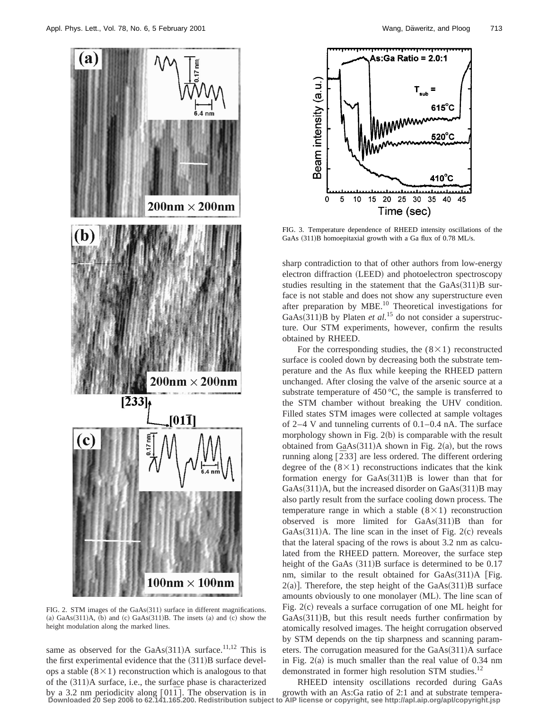

FIG. 2. STM images of the GaAs(311) surface in different magnifications. (a)  $GaAs(311)A$ , (b) and (c)  $GaAs(311)B$ . The insets (a) and (c) show the height modulation along the marked lines.

same as observed for the GaAs $(311)$ A surface.<sup>11,12</sup> This is the first experimental evidence that the  $(311)B$  surface develops a stable  $(8\times1)$  reconstruction which is analogous to that of the  $(311)$ A surface, i.e., the surface phase is characterized



FIG. 3. Temperature dependence of RHEED intensity oscillations of the GaAs  $(311)B$  homoepitaxial growth with a Ga flux of 0.78 ML/s.

sharp contradiction to that of other authors from low-energy electron diffraction (LEED) and photoelectron spectroscopy studies resulting in the statement that the  $GaAs(311)B$  surface is not stable and does not show any superstructure even after preparation by MBE.<sup>10</sup> Theoretical investigations for GaAs $(311)$ B by Platen *et al.*<sup>15</sup> do not consider a superstructure. Our STM experiments, however, confirm the results obtained by RHEED.

For the corresponding studies, the  $(8\times1)$  reconstructed surface is cooled down by decreasing both the substrate temperature and the As flux while keeping the RHEED pattern unchanged. After closing the valve of the arsenic source at a substrate temperature of  $450^{\circ}$ C, the sample is transferred to the STM chamber without breaking the UHV condition. Filled states STM images were collected at sample voltages of 2–4 V and tunneling currents of 0.1–0.4 nA. The surface morphology shown in Fig.  $2(b)$  is comparable with the result obtained from  $GaAs(311)A$  shown in Fig. 2(a), but the rows running along  $[\overline{2}33]$  are less ordered. The different ordering degree of the  $(8\times1)$  reconstructions indicates that the kink formation energy for  $GaAs(311)B$  is lower than that for GaAs $(311)$ A, but the increased disorder on GaAs $(311)$ B may also partly result from the surface cooling down process. The temperature range in which a stable  $(8\times1)$  reconstruction observed is more limited for  $GaAs(311)B$  than for  $GaAs(311)A$ . The line scan in the inset of Fig. 2(c) reveals that the lateral spacing of the rows is about 3.2 nm as calculated from the RHEED pattern. Moreover, the surface step height of the GaAs  $(311)B$  surface is determined to be 0.17 nm, similar to the result obtained for  $GaAs(311)$ A [Fig.  $2(a)$ ]. Therefore, the step height of the GaAs $(311)$ B surface amounts obviously to one monolayer (ML). The line scan of Fig.  $2(c)$  reveals a surface corrugation of one ML height for  $GaAs(311)B$ , but this result needs further confirmation by atomically resolved images. The height corrugation observed by STM depends on the tip sharpness and scanning parameters. The corrugation measured for the  $GaAs(311)A$  surface in Fig.  $2(a)$  is much smaller than the real value of 0.34 nm demonstrated in former high resolution STM studies.<sup>12</sup>

by a 3.2 nm periodicity along [011]. The observation is in growth with an As:Ga ratio of 2:1 and at substrate tempera-<br>Downloaded 20 Sep 2006 to 62.141.165.200. Redistribution subject to AIP license or copyright, see http: RHEED intensity oscillations recorded during GaAs